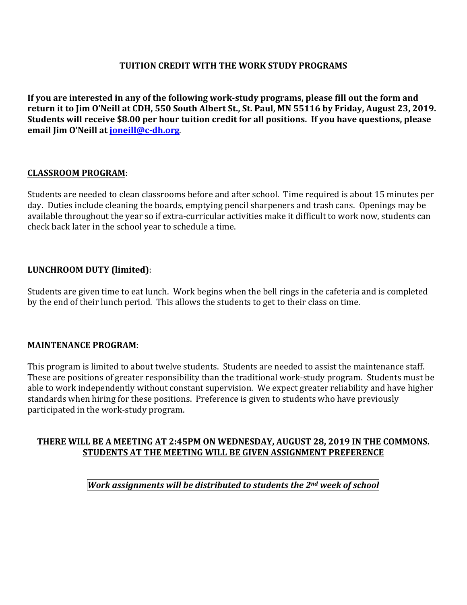# **TUITION CREDIT WITH THE WORK STUDY PROGRAMS**

If you are interested in any of the following work-study programs, please fill out the form and return it to Jim O'Neill at CDH, 550 South Albert St., St. Paul, MN 55116 by Friday, August 23, 2019. **Students will receive \$8.00 per hour tuition credit for all positions. If you have questions, please email Jim O'Neill at joneill@c-dh.org.** 

## **CLASSROOM PROGRAM**:

Students are needed to clean classrooms before and after school. Time required is about 15 minutes per day. Duties include cleaning the boards, emptying pencil sharpeners and trash cans. Openings may be available throughout the year so if extra-curricular activities make it difficult to work now, students can check back later in the school year to schedule a time.

## **LUNCHROOM DUTY (limited)**:

Students are given time to eat lunch. Work begins when the bell rings in the cafeteria and is completed by the end of their lunch period. This allows the students to get to their class on time.

#### **MAINTENANCE PROGRAM:**

This program is limited to about twelve students. Students are needed to assist the maintenance staff. These are positions of greater responsibility than the traditional work-study program. Students must be able to work independently without constant supervision. We expect greater reliability and have higher standards when hiring for these positions. Preference is given to students who have previously participated in the work-study program.

## THERE WILL BE A MEETING AT 2:45PM ON WEDNESDAY, AUGUST 28, 2019 IN THE COMMONS. **STUDENTS AT THE MEETING WILL BE GIVEN ASSIGNMENT PREFERENCE**

*Work assignments will be distributed to students the 2nd week of school*